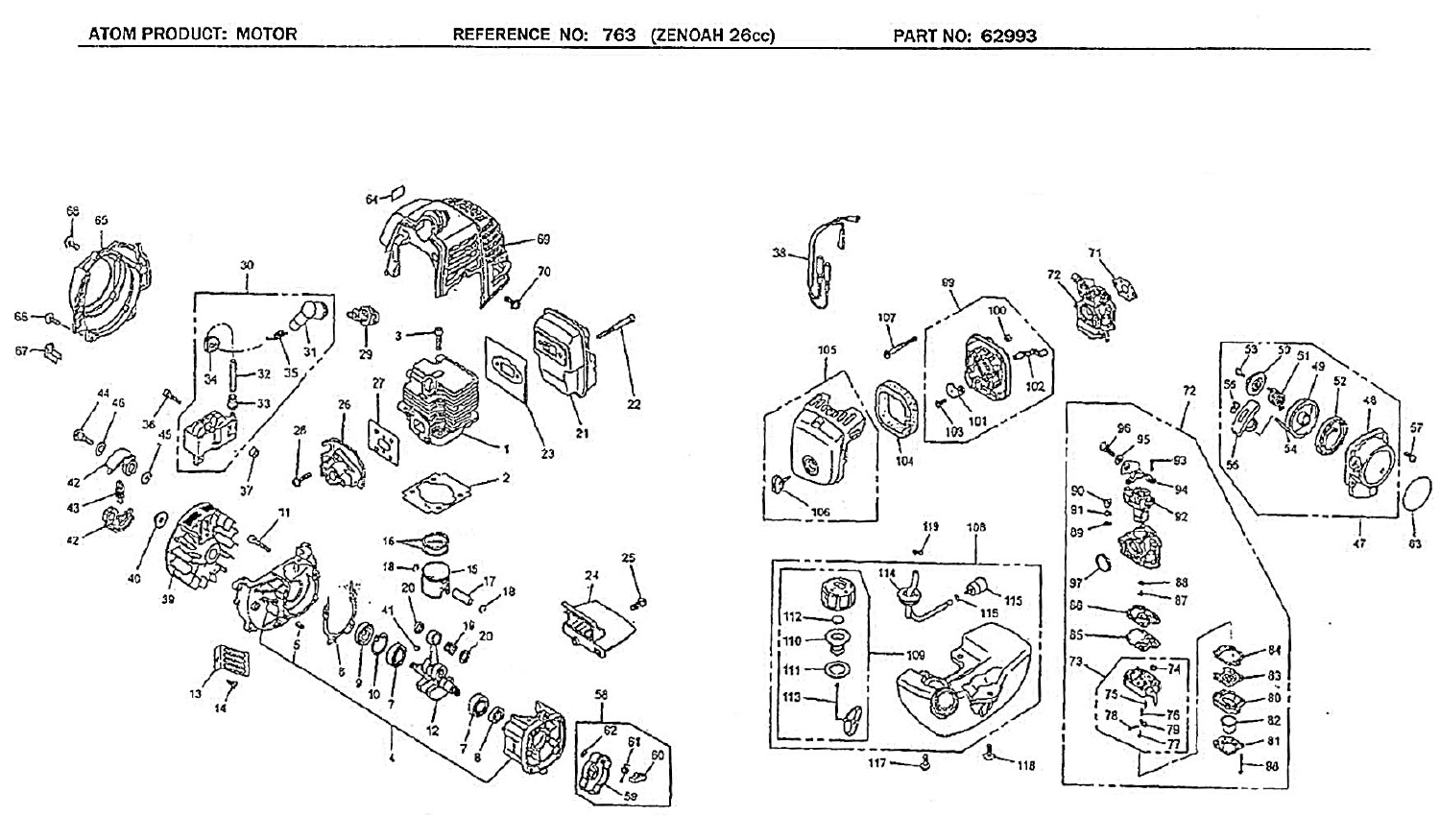